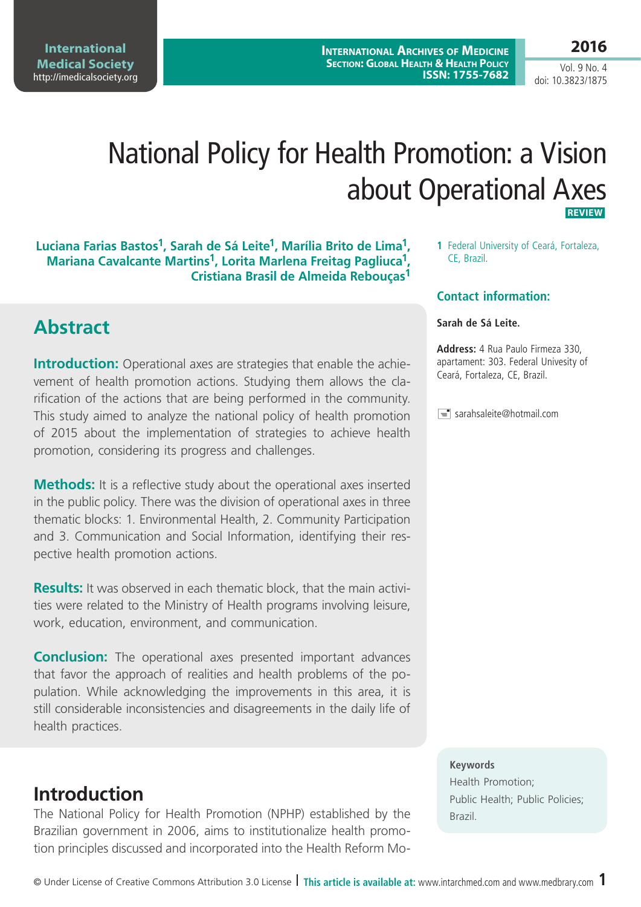**International Medical Society**  <http://imedicalsociety.org>

**International Archives of Medicine Section: Global Health & Health Policy ISSN: 1755-7682** **2016**

Vol. 9 No. 4 doi: 10.3823/1875

# National Policy for Health Promotion: a Vision about Operational Axes **Review**

#### **Luciana Farias Bastos1, Sarah de Sá Leite1, Marília Brito de Lima1, Mariana Cavalcante Martins1, Lorita Marlena Freitag Pagliuca1, Cristiana Brasil de Almeida Rebouças1**

## **Abstract**

**Introduction:** Operational axes are strategies that enable the achievement of health promotion actions. Studying them allows the clarification of the actions that are being performed in the community. This study aimed to analyze the national policy of health promotion of 2015 about the implementation of strategies to achieve health promotion, considering its progress and challenges.

**Methods:** It is a reflective study about the operational axes inserted in the public policy. There was the division of operational axes in three thematic blocks: 1. Environmental Health, 2. Community Participation and 3. Communication and Social Information, identifying their respective health promotion actions.

**Results:** It was observed in each thematic block, that the main activities were related to the Ministry of Health programs involving leisure, work, education, environment, and communication.

**Conclusion:** The operational axes presented important advances that favor the approach of realities and health problems of the population. While acknowledging the improvements in this area, it is still considerable inconsistencies and disagreements in the daily life of health practices.

## **Introduction**

The National Policy for Health Promotion (NPHP) established by the Brazilian government in 2006, aims to institutionalize health promotion principles discussed and incorporated into the Health Reform Mo**1** Federal University of Ceará, Fortaleza, CE, Brazil.

#### **Contact information:**

#### **Sarah de Sá Leite.**

**Address:** 4 Rua Paulo Firmeza 330, apartament: 303. Federal Univesity of Ceará, Fortaleza, CE, Brazil.

 $\equiv$  sarahsaleite@hotmail.com

#### **Keywords**

Health Promotion; Public Health; Public Policies; Brazil.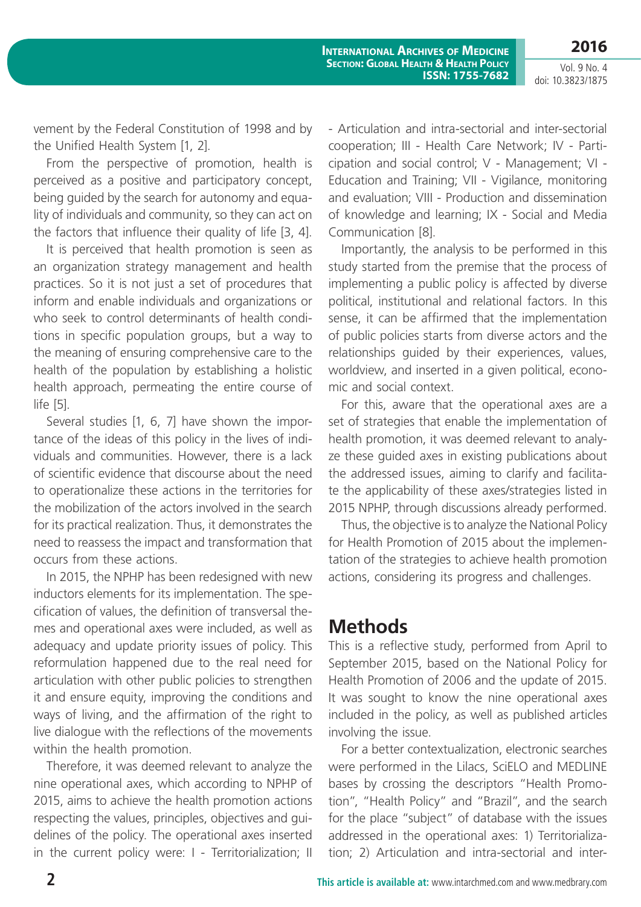**2016** Vol. 9 No. 4

doi: 10.3823/1875

vement by the Federal Constitution of 1998 and by the Unified Health System [1, 2].

From the perspective of promotion, health is perceived as a positive and participatory concept, being guided by the search for autonomy and equality of individuals and community, so they can act on the factors that influence their quality of life [3, 4].

It is perceived that health promotion is seen as an organization strategy management and health practices. So it is not just a set of procedures that inform and enable individuals and organizations or who seek to control determinants of health conditions in specific population groups, but a way to the meaning of ensuring comprehensive care to the health of the population by establishing a holistic health approach, permeating the entire course of life [5].

Several studies [1, 6, 7] have shown the importance of the ideas of this policy in the lives of individuals and communities. However, there is a lack of scientific evidence that discourse about the need to operationalize these actions in the territories for the mobilization of the actors involved in the search for its practical realization. Thus, it demonstrates the need to reassess the impact and transformation that occurs from these actions.

In 2015, the NPHP has been redesigned with new inductors elements for its implementation. The specification of values, the definition of transversal themes and operational axes were included, as well as adequacy and update priority issues of policy. This reformulation happened due to the real need for articulation with other public policies to strengthen it and ensure equity, improving the conditions and ways of living, and the affirmation of the right to live dialogue with the reflections of the movements within the health promotion.

Therefore, it was deemed relevant to analyze the nine operational axes, which according to NPHP of 2015, aims to achieve the health promotion actions respecting the values, principles, objectives and guidelines of the policy. The operational axes inserted in the current policy were: I - Territorialization; II - Articulation and intra-sectorial and inter-sectorial cooperation; III - Health Care Network; IV - Participation and social control; V - Management; VI - Education and Training; VII - Vigilance, monitoring and evaluation; VIII - Production and dissemination of knowledge and learning; IX - Social and Media Communication [8].

Importantly, the analysis to be performed in this study started from the premise that the process of implementing a public policy is affected by diverse political, institutional and relational factors. In this sense, it can be affirmed that the implementation of public policies starts from diverse actors and the relationships guided by their experiences, values, worldview, and inserted in a given political, economic and social context.

For this, aware that the operational axes are a set of strategies that enable the implementation of health promotion, it was deemed relevant to analyze these guided axes in existing publications about the addressed issues, aiming to clarify and facilitate the applicability of these axes/strategies listed in 2015 NPHP, through discussions already performed.

Thus, the objective is to analyze the National Policy for Health Promotion of 2015 about the implementation of the strategies to achieve health promotion actions, considering its progress and challenges.

## **Methods**

This is a reflective study, performed from April to September 2015, based on the National Policy for Health Promotion of 2006 and the update of 2015. It was sought to know the nine operational axes included in the policy, as well as published articles involving the issue.

For a better contextualization, electronic searches were performed in the Lilacs, SciELO and MEDLINE bases by crossing the descriptors "Health Promotion", "Health Policy" and "Brazil", and the search for the place "subject" of database with the issues addressed in the operational axes: 1) Territorialization; 2) Articulation and intra-sectorial and inter-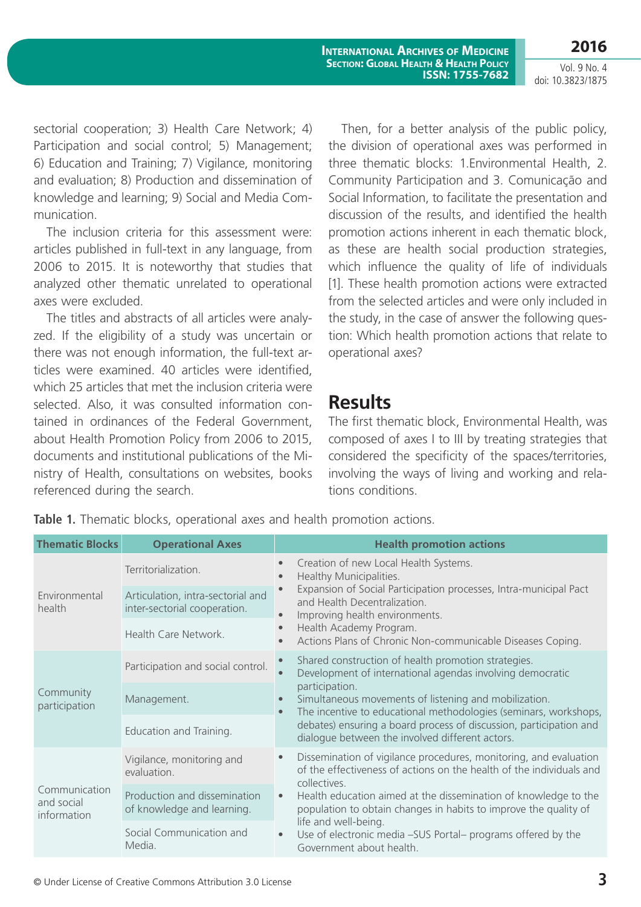sectorial cooperation; 3) Health Care Network; 4) Participation and social control; 5) Management; 6) Education and Training; 7) Vigilance, monitoring and evaluation; 8) Production and dissemination of knowledge and learning; 9) Social and Media Communication.

The inclusion criteria for this assessment were: articles published in full-text in any language, from 2006 to 2015. It is noteworthy that studies that analyzed other thematic unrelated to operational axes were excluded.

The titles and abstracts of all articles were analyzed. If the eligibility of a study was uncertain or there was not enough information, the full-text articles were examined. 40 articles were identified, which 25 articles that met the inclusion criteria were selected. Also, it was consulted information contained in ordinances of the Federal Government, about Health Promotion Policy from 2006 to 2015, documents and institutional publications of the Ministry of Health, consultations on websites, books referenced during the search.

Then, for a better analysis of the public policy, the division of operational axes was performed in three thematic blocks: 1.Environmental Health, 2. Community Participation and 3. Comunicação and Social Information, to facilitate the presentation and discussion of the results, and identified the health promotion actions inherent in each thematic block, as these are health social production strategies, which influence the quality of life of individuals [1]. These health promotion actions were extracted from the selected articles and were only included in the study, in the case of answer the following question: Which health promotion actions that relate to operational axes?

## **Results**

The first thematic block, Environmental Health, was composed of axes I to III by treating strategies that considered the specificity of the spaces/territories, involving the ways of living and working and relations conditions.

| <b>Operational Axes</b>                                           |                        | <b>Health promotion actions</b>                                                                                                                                                                                                                                                                                                                                                                                      |
|-------------------------------------------------------------------|------------------------|----------------------------------------------------------------------------------------------------------------------------------------------------------------------------------------------------------------------------------------------------------------------------------------------------------------------------------------------------------------------------------------------------------------------|
| Territorialization.                                               | $\bullet$<br>$\bullet$ | Creation of new Local Health Systems.<br>Healthy Municipalities.<br>Expansion of Social Participation processes, Intra-municipal Pact<br>and Health Decentralization.<br>Improving health environments.<br>Health Academy Program.<br>Actions Plans of Chronic Non-communicable Diseases Coping.                                                                                                                     |
| Articulation, intra-sectorial and<br>inter-sectorial cooperation. | $\bullet$              |                                                                                                                                                                                                                                                                                                                                                                                                                      |
| Health Care Network.                                              | $\bullet$<br>$\bullet$ |                                                                                                                                                                                                                                                                                                                                                                                                                      |
| Participation and social control.                                 | $\bullet$              | Shared construction of health promotion strategies.<br>Development of international agendas involving democratic<br>participation.<br>Simultaneous movements of listening and mobilization.<br>The incentive to educational methodologies (seminars, workshops,<br>debates) ensuring a board process of discussion, participation and<br>dialogue between the involved different actors.                             |
| Management.                                                       | $\bullet$              |                                                                                                                                                                                                                                                                                                                                                                                                                      |
| Education and Training.                                           |                        |                                                                                                                                                                                                                                                                                                                                                                                                                      |
| Vigilance, monitoring and<br>evaluation.<br>Communication         | $\bullet$              | Dissemination of vigilance procedures, monitoring, and evaluation<br>of the effectiveness of actions on the health of the individuals and<br>collectives.<br>Health education aimed at the dissemination of knowledge to the<br>population to obtain changes in habits to improve the quality of<br>life and well-being.<br>Use of electronic media -SUS Portal- programs offered by the<br>Government about health. |
| Production and dissemination<br>of knowledge and learning.        | $\bullet$              |                                                                                                                                                                                                                                                                                                                                                                                                                      |
| Social Communication and<br>Media.                                | $\bullet$              |                                                                                                                                                                                                                                                                                                                                                                                                                      |
|                                                                   |                        | $\bullet$                                                                                                                                                                                                                                                                                                                                                                                                            |

**Table 1.** Thematic blocks, operational axes and health promotion actions.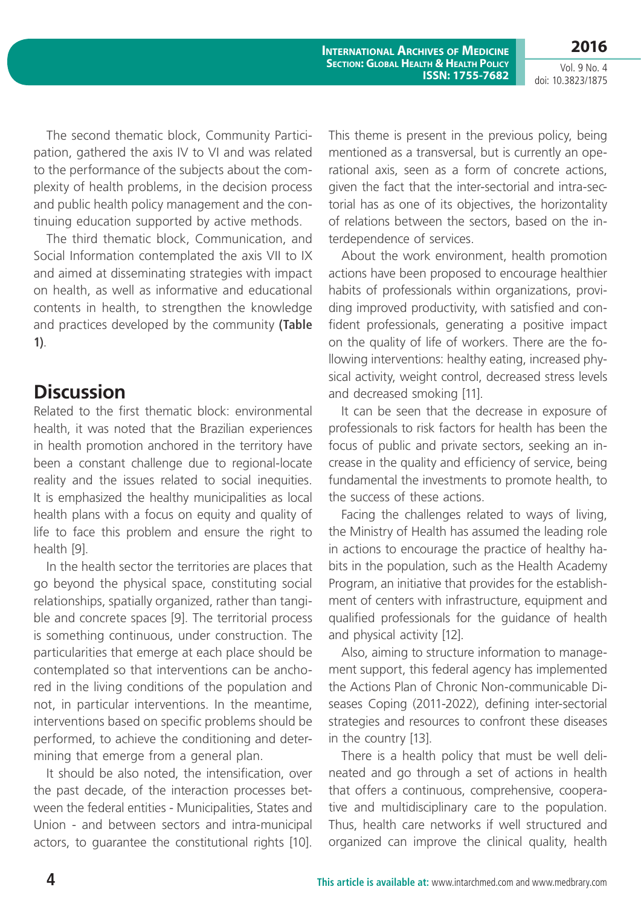**2016**

The second thematic block, Community Participation, gathered the axis IV to VI and was related to the performance of the subjects about the complexity of health problems, in the decision process and public health policy management and the continuing education supported by active methods.

The third thematic block, Communication, and Social Information contemplated the axis VII to IX and aimed at disseminating strategies with impact on health, as well as informative and educational contents in health, to strengthen the knowledge and practices developed by the community **(Table 1)**.

### **Discussion**

Related to the first thematic block: environmental health, it was noted that the Brazilian experiences in health promotion anchored in the territory have been a constant challenge due to regional-locate reality and the issues related to social inequities. It is emphasized the healthy municipalities as local health plans with a focus on equity and quality of life to face this problem and ensure the right to health [9].

In the health sector the territories are places that go beyond the physical space, constituting social relationships, spatially organized, rather than tangible and concrete spaces [9]. The territorial process is something continuous, under construction. The particularities that emerge at each place should be contemplated so that interventions can be anchored in the living conditions of the population and not, in particular interventions. In the meantime, interventions based on specific problems should be performed, to achieve the conditioning and determining that emerge from a general plan.

It should be also noted, the intensification, over the past decade, of the interaction processes between the federal entities - Municipalities, States and Union - and between sectors and intra-municipal actors, to guarantee the constitutional rights [10].

This theme is present in the previous policy, being mentioned as a transversal, but is currently an operational axis, seen as a form of concrete actions, given the fact that the inter-sectorial and intra-sectorial has as one of its objectives, the horizontality of relations between the sectors, based on the interdependence of services.

About the work environment, health promotion actions have been proposed to encourage healthier habits of professionals within organizations, providing improved productivity, with satisfied and confident professionals, generating a positive impact on the quality of life of workers. There are the following interventions: healthy eating, increased physical activity, weight control, decreased stress levels and decreased smoking [11].

It can be seen that the decrease in exposure of professionals to risk factors for health has been the focus of public and private sectors, seeking an increase in the quality and efficiency of service, being fundamental the investments to promote health, to the success of these actions.

Facing the challenges related to ways of living, the Ministry of Health has assumed the leading role in actions to encourage the practice of healthy habits in the population, such as the Health Academy Program, an initiative that provides for the establishment of centers with infrastructure, equipment and qualified professionals for the guidance of health and physical activity [12].

Also, aiming to structure information to management support, this federal agency has implemented the Actions Plan of Chronic Non-communicable Diseases Coping (2011-2022), defining inter-sectorial strategies and resources to confront these diseases in the country [13].

There is a health policy that must be well delineated and go through a set of actions in health that offers a continuous, comprehensive, cooperative and multidisciplinary care to the population. Thus, health care networks if well structured and organized can improve the clinical quality, health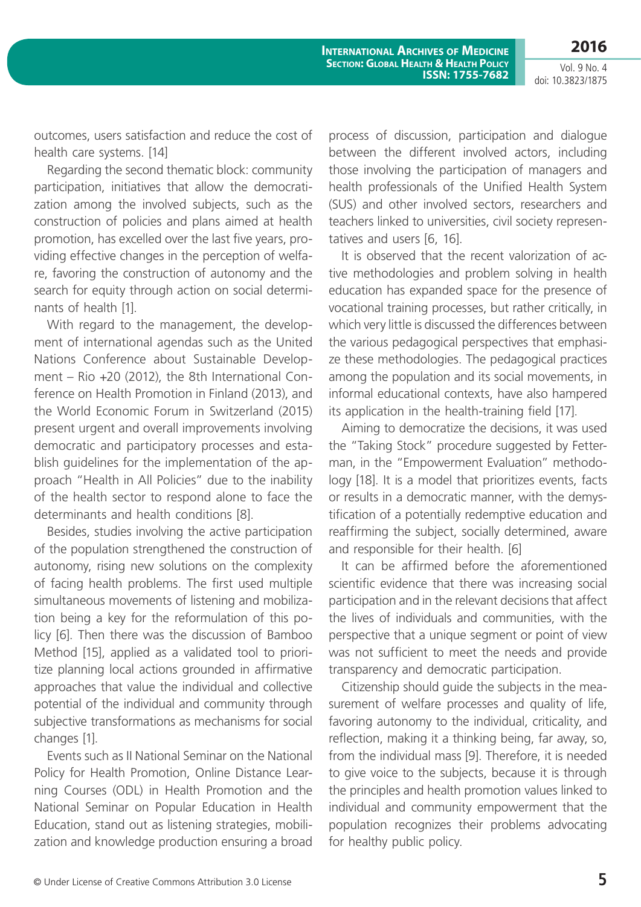**2016**

outcomes, users satisfaction and reduce the cost of health care systems. [14]

Regarding the second thematic block: community participation, initiatives that allow the democratization among the involved subjects, such as the construction of policies and plans aimed at health promotion, has excelled over the last five years, providing effective changes in the perception of welfare, favoring the construction of autonomy and the search for equity through action on social determinants of health [1].

With regard to the management, the development of international agendas such as the United Nations Conference about Sustainable Development – Rio +20 (2012), the 8th International Conference on Health Promotion in Finland (2013), and the World Economic Forum in Switzerland (2015) present urgent and overall improvements involving democratic and participatory processes and establish guidelines for the implementation of the approach "Health in All Policies" due to the inability of the health sector to respond alone to face the determinants and health conditions [8].

Besides, studies involving the active participation of the population strengthened the construction of autonomy, rising new solutions on the complexity of facing health problems. The first used multiple simultaneous movements of listening and mobilization being a key for the reformulation of this policy [6]. Then there was the discussion of Bamboo Method [15], applied as a validated tool to prioritize planning local actions grounded in affirmative approaches that value the individual and collective potential of the individual and community through subjective transformations as mechanisms for social changes [1].

Events such as II National Seminar on the National Policy for Health Promotion, Online Distance Learning Courses (ODL) in Health Promotion and the National Seminar on Popular Education in Health Education, stand out as listening strategies, mobilization and knowledge production ensuring a broad process of discussion, participation and dialogue between the different involved actors, including those involving the participation of managers and health professionals of the Unified Health System (SUS) and other involved sectors, researchers and teachers linked to universities, civil society representatives and users [6, 16].

It is observed that the recent valorization of active methodologies and problem solving in health education has expanded space for the presence of vocational training processes, but rather critically, in which very little is discussed the differences between the various pedagogical perspectives that emphasize these methodologies. The pedagogical practices among the population and its social movements, in informal educational contexts, have also hampered its application in the health-training field [17].

Aiming to democratize the decisions, it was used the "Taking Stock" procedure suggested by Fetterman, in the "Empowerment Evaluation" methodology [18]. It is a model that prioritizes events, facts or results in a democratic manner, with the demystification of a potentially redemptive education and reaffirming the subject, socially determined, aware and responsible for their health. [6]

It can be affirmed before the aforementioned scientific evidence that there was increasing social participation and in the relevant decisions that affect the lives of individuals and communities, with the perspective that a unique segment or point of view was not sufficient to meet the needs and provide transparency and democratic participation.

Citizenship should guide the subjects in the measurement of welfare processes and quality of life, favoring autonomy to the individual, criticality, and reflection, making it a thinking being, far away, so, from the individual mass [9]. Therefore, it is needed to give voice to the subjects, because it is through the principles and health promotion values linked to individual and community empowerment that the population recognizes their problems advocating for healthy public policy.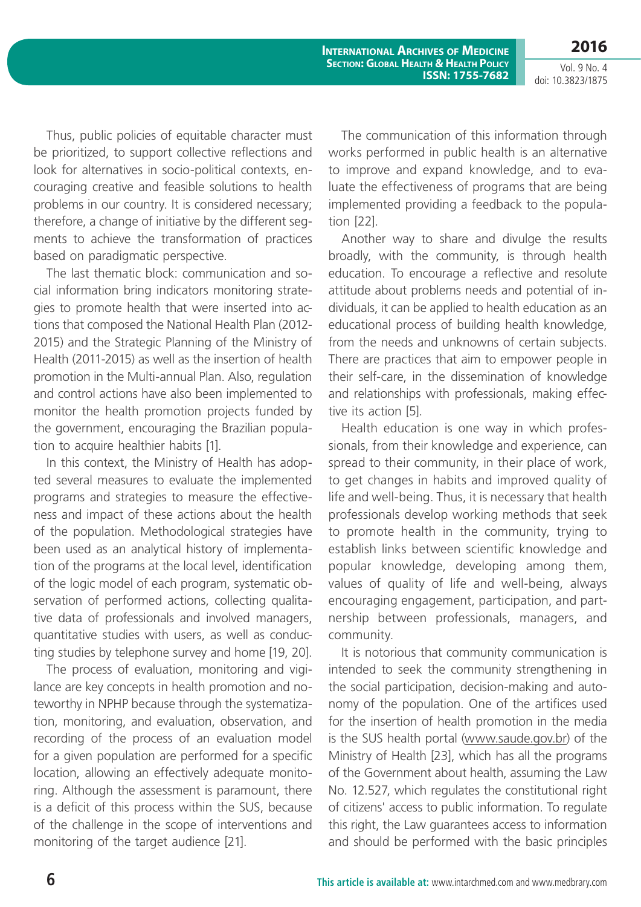**International Archives of Medicine Section: Global Health & Health Policy ISSN: 1755-7682**

Vol. 9 No. 4 doi: 10.3823/1875

**2016**

Thus, public policies of equitable character must be prioritized, to support collective reflections and look for alternatives in socio-political contexts, encouraging creative and feasible solutions to health problems in our country. It is considered necessary; therefore, a change of initiative by the different segments to achieve the transformation of practices based on paradigmatic perspective.

The last thematic block: communication and social information bring indicators monitoring strategies to promote health that were inserted into actions that composed the National Health Plan (2012- 2015) and the Strategic Planning of the Ministry of Health (2011-2015) as well as the insertion of health promotion in the Multi-annual Plan. Also, regulation and control actions have also been implemented to monitor the health promotion projects funded by the government, encouraging the Brazilian population to acquire healthier habits [1].

In this context, the Ministry of Health has adopted several measures to evaluate the implemented programs and strategies to measure the effectiveness and impact of these actions about the health of the population. Methodological strategies have been used as an analytical history of implementation of the programs at the local level, identification of the logic model of each program, systematic observation of performed actions, collecting qualitative data of professionals and involved managers, quantitative studies with users, as well as conducting studies by telephone survey and home [19, 20].

The process of evaluation, monitoring and vigilance are key concepts in health promotion and noteworthy in NPHP because through the systematization, monitoring, and evaluation, observation, and recording of the process of an evaluation model for a given population are performed for a specific location, allowing an effectively adequate monitoring. Although the assessment is paramount, there is a deficit of this process within the SUS, because of the challenge in the scope of interventions and monitoring of the target audience [21].

The communication of this information through works performed in public health is an alternative to improve and expand knowledge, and to evaluate the effectiveness of programs that are being implemented providing a feedback to the population [22].

Another way to share and divulge the results broadly, with the community, is through health education. To encourage a reflective and resolute attitude about problems needs and potential of individuals, it can be applied to health education as an educational process of building health knowledge, from the needs and unknowns of certain subjects. There are practices that aim to empower people in their self-care, in the dissemination of knowledge and relationships with professionals, making effective its action [5].

Health education is one way in which professionals, from their knowledge and experience, can spread to their community, in their place of work, to get changes in habits and improved quality of life and well-being. Thus, it is necessary that health professionals develop working methods that seek to promote health in the community, trying to establish links between scientific knowledge and popular knowledge, developing among them, values of quality of life and well-being, always encouraging engagement, participation, and partnership between professionals, managers, and community.

It is notorious that community communication is intended to seek the community strengthening in the social participation, decision-making and autonomy of the population. One of the artifices used for the insertion of health promotion in the media is the SUS health portal [\(www.saude.gov.br](www.saude.gov.br)) of the Ministry of Health [23], which has all the programs of the Government about health, assuming the Law No. 12.527, which regulates the constitutional right of citizens' access to public information. To regulate this right, the Law guarantees access to information and should be performed with the basic principles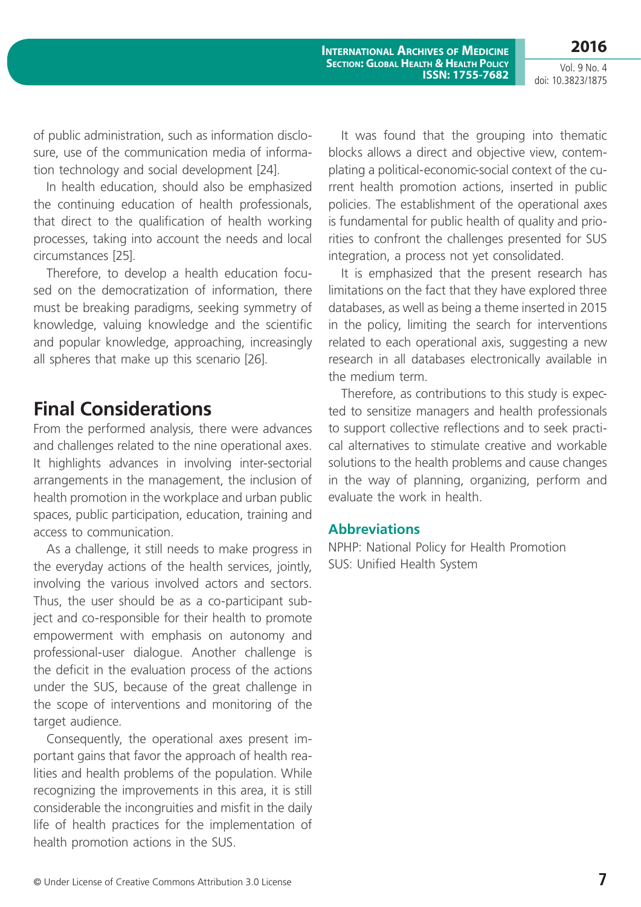**2016**

Vol. 9 No. 4 doi: 10.3823/1875

of public administration, such as information disclosure, use of the communication media of information technology and social development [24].

In health education, should also be emphasized the continuing education of health professionals, that direct to the qualification of health working processes, taking into account the needs and local circumstances [25].

Therefore, to develop a health education focused on the democratization of information, there must be breaking paradigms, seeking symmetry of knowledge, valuing knowledge and the scientific and popular knowledge, approaching, increasingly all spheres that make up this scenario [26].

## **Final Considerations**

From the performed analysis, there were advances and challenges related to the nine operational axes. It highlights advances in involving inter-sectorial arrangements in the management, the inclusion of health promotion in the workplace and urban public spaces, public participation, education, training and access to communication.

As a challenge, it still needs to make progress in the everyday actions of the health services, jointly, involving the various involved actors and sectors. Thus, the user should be as a co-participant subject and co-responsible for their health to promote empowerment with emphasis on autonomy and professional-user dialogue. Another challenge is the deficit in the evaluation process of the actions under the SUS, because of the great challenge in the scope of interventions and monitoring of the target audience.

Consequently, the operational axes present important gains that favor the approach of health realities and health problems of the population. While recognizing the improvements in this area, it is still considerable the incongruities and misfit in the daily life of health practices for the implementation of health promotion actions in the SUS.

It was found that the grouping into thematic blocks allows a direct and objective view, contemplating a political-economic-social context of the current health promotion actions, inserted in public policies. The establishment of the operational axes is fundamental for public health of quality and priorities to confront the challenges presented for SUS integration, a process not yet consolidated.

It is emphasized that the present research has limitations on the fact that they have explored three databases, as well as being a theme inserted in 2015 in the policy, limiting the search for interventions related to each operational axis, suggesting a new research in all databases electronically available in the medium term.

Therefore, as contributions to this study is expected to sensitize managers and health professionals to support collective reflections and to seek practical alternatives to stimulate creative and workable solutions to the health problems and cause changes in the way of planning, organizing, perform and evaluate the work in health.

#### **Abbreviations**

NPHP: National Policy for Health Promotion SUS: Unified Health System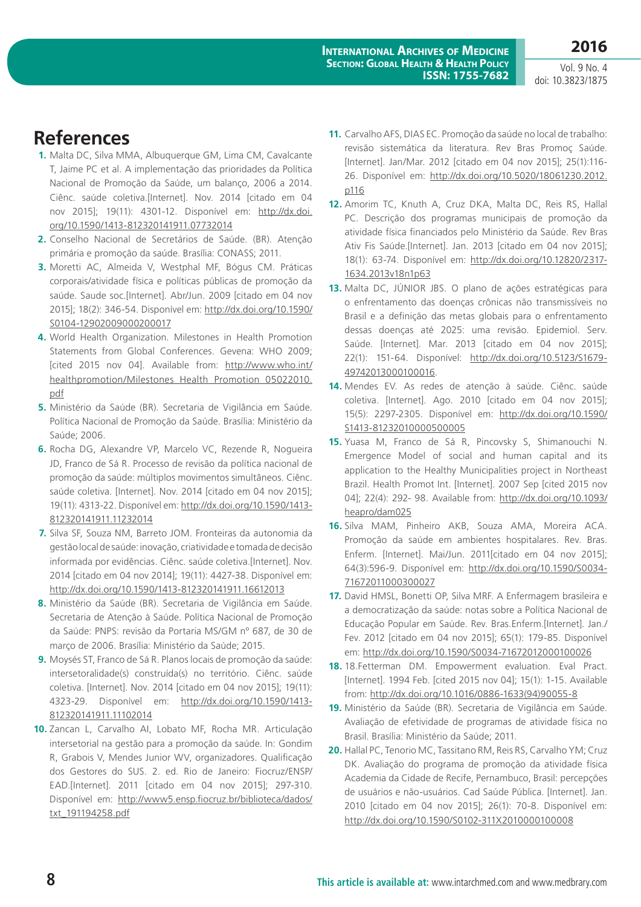**2016**

## **References**

- **1.** Malta DC, Silva MMA, Albuquerque GM, Lima CM, Cavalcante T, Jaime PC et al. A implementação das prioridades da Política Nacional de Promoção da Saúde, um balanço, 2006 a 2014. Ciênc. saúde coletiva.[Internet]. Nov. 2014 [citado em 04 nov 2015]; 19(11): 4301-12. Disponível em: [http://dx.doi.](http://dx.doi.org/10.1590/1413-812320141911.07732014) [org/10.1590/1413-812320141911.07732014](http://dx.doi.org/10.1590/1413-812320141911.07732014)
- **2.** Conselho Nacional de Secretários de Saúde. (BR). Atenção primária e promoção da saúde. Brasília: CONASS; 2011.
- **3.** Moretti AC, Almeida V, Westphal MF, Bógus CM. Práticas corporais/atividade física e políticas públicas de promoção da saúde. Saude soc.[Internet]. Abr/Jun. 2009 [citado em 04 nov 2015]; 18(2): 346-54. Disponível em: [http://dx.doi.org/10.1590/](http://dx.doi.org/10.1590/S0104-12902009000200017) [S0104-12902009000200017](http://dx.doi.org/10.1590/S0104-12902009000200017)
- **4.** World Health Organization. Milestones in Health Promotion Statements from Global Conferences. Gevena: WHO 2009; [cited 2015 nov 04]. Available from: [http://www.who.int/](http://www.who.int/healthpromotion/Milestones_Health_Promotion_05022010.pdf) [healthpromotion/Milestones\\_Health\\_Promotion\\_05022010.](http://www.who.int/healthpromotion/Milestones_Health_Promotion_05022010.pdf) [pdf](http://www.who.int/healthpromotion/Milestones_Health_Promotion_05022010.pdf)
- **5.** Ministério da Saúde (BR). Secretaria de Vigilância em Saúde. Política Nacional de Promoção da Saúde. Brasília: Ministério da Saúde; 2006.
- **6.** Rocha DG, Alexandre VP, Marcelo VC, Rezende R, Nogueira JD, Franco de Sá R. Processo de revisão da política nacional de promoção da saúde: múltiplos movimentos simultâneos. Ciênc. saúde coletiva. [Internet]. Nov. 2014 [citado em 04 nov 2015]; 19(11): 4313-22. Disponível em: [http://dx.doi.org/10.1590/1413-](http://dx.doi.org/10.1590/1413-812320141911.11232014) [812320141911.11232014](http://dx.doi.org/10.1590/1413-812320141911.11232014)
- **7.** Silva SF, Souza NM, Barreto JOM. Fronteiras da autonomia da gestão local de saúde: inovação, criatividade e tomada de decisão informada por evidências. Ciênc. saúde coletiva.[Internet]. Nov. 2014 [citado em 04 nov 2014]; 19(11): 4427-38. Disponível em: <http://dx.doi.org/10.1590/1413-812320141911.16612013>
- **8.** Ministério da Saúde (BR). Secretaria de Vigilância em Saúde. Secretaria de Atenção à Saúde. Política Nacional de Promoção da Saúde: PNPS: revisão da Portaria MS/GM nº 687, de 30 de março de 2006. Brasília: Ministério da Saúde; 2015.
- **9.** Moysés ST, Franco de Sá R. Planos locais de promoção da saúde: intersetoralidade(s) construída(s) no território. Ciênc. saúde coletiva. [Internet]. Nov. 2014 [citado em 04 nov 2015]; 19(11): 4323-29. Disponível em: [http://dx.doi.org/10.1590/1413-](http://dx.doi.org/10.1590/1413-812320141911.11102014) [812320141911.11102014](http://dx.doi.org/10.1590/1413-812320141911.11102014)
- **10.** Zancan L, Carvalho AI, Lobato MF, Rocha MR. Articulação intersetorial na gestão para a promoção da saúde. In: Gondim R, Grabois V, Mendes Junior WV, organizadores. Qualificação dos Gestores do SUS. 2. ed. Rio de Janeiro: Fiocruz/ENSP/ EAD.[Internet]. 2011 [citado em 04 nov 2015]; 297-310. Disponível em: [http://www5.ensp.fiocruz.br/biblioteca/dados/](http://www5.ensp.fiocruz.br/biblioteca/dados/txt_191194258.pdf) [txt\\_191194258.pdf](http://www5.ensp.fiocruz.br/biblioteca/dados/txt_191194258.pdf)
- **11.** Carvalho AFS, DIAS EC. Promoção da saúde no local de trabalho: revisão sistemática da literatura. Rev Bras Promoç Saúde. [Internet]. Jan/Mar. 2012 [citado em 04 nov 2015]; 25(1):116- 26. Disponível em: [http://dx.doi.org/10.5020/18061230.2012.](http://dx.doi.org/10.5020/18061230.2012.p116) [p116](http://dx.doi.org/10.5020/18061230.2012.p116)
- **12.** Amorim TC, Knuth A, Cruz DKA, Malta DC, Reis RS, Hallal PC. Descrição dos programas municipais de promoção da atividade física financiados pelo Ministério da Saúde. Rev Bras Ativ Fis Saúde.[Internet]. Jan. 2013 [citado em 04 nov 2015]; 18(1): 63-74. Disponível em: [http://dx.doi.org/10.12820/2317-](http://dx.doi.org/10.12820/2317-1634.2013v18n1p63) [1634.2013v18n1p63](http://dx.doi.org/10.12820/2317-1634.2013v18n1p63)
- **13.** Malta DC, JÚNIOR JBS. O plano de ações estratégicas para o enfrentamento das doenças crônicas não transmissíveis no Brasil e a definição das metas globais para o enfrentamento dessas doenças até 2025: uma revisão. Epidemiol. Serv. Saúde. [Internet]. Mar. 2013 [citado em 04 nov 2015]; 22(1): 151-64. Disponível: [http://dx.doi.org/10.5123/S1679-](http://dx.doi.org/10.5123/S1679-49742013000100016) [49742013000100016](http://dx.doi.org/10.5123/S1679-49742013000100016).
- **14.** Mendes EV. As redes de atenção à saúde. Ciênc. saúde coletiva. [Internet]. Ago. 2010 [citado em 04 nov 2015]; 15(5): 2297-2305. Disponível em: [http://dx.doi.org/10.1590/](http://dx.doi.org/10.1590/S1413-81232010000500005) [S1413-81232010000500005](http://dx.doi.org/10.1590/S1413-81232010000500005)
- **15.** Yuasa M, Franco de Sá R, Pincovsky S, Shimanouchi N. Emergence Model of social and human capital and its application to the Healthy Municipalities project in Northeast Brazil. Health Promot Int. [Internet]. 2007 Sep [cited 2015 nov 04]; 22(4): 292- 98. Available from: [http://dx.doi.org/10.1093/](http://dx.doi.org/10.1093/heapro/dam025) [heapro/dam025](http://dx.doi.org/10.1093/heapro/dam025)
- **16.** Silva MAM, Pinheiro AKB, Souza AMA, Moreira ACA. Promoção da saúde em ambientes hospitalares. Rev. Bras. Enferm. [Internet]. Mai/Jun. 2011[citado em 04 nov 2015]; 64(3):596-9. Disponível em: [http://dx.doi.org/10.1590/S0034-](http://dx.doi.org/10.1590/S0034-71672011000300027) [71672011000300027](http://dx.doi.org/10.1590/S0034-71672011000300027)
- **17.** David HMSL, Bonetti OP, Silva MRF. A Enfermagem brasileira e a democratização da saúde: notas sobre a Política Nacional de Educação Popular em Saúde. Rev. Bras.Enferm.[Internet]. Jan./ Fev. 2012 [citado em 04 nov 2015]; 65(1): 179-85. Disponível em:<http://dx.doi.org/10.1590/S0034-71672012000100026>
- **18.** 18.Fetterman DM. Empowerment evaluation. Eval Pract. [Internet]. 1994 Feb. [cited 2015 nov 04]; 15(1): 1-15. Available from: [http://dx.doi.org/10.1016/0886-1633\(94\)90055-8](http://dx.doi.org/10.1016/0886-1633(94)90055-8)
- **19.** Ministério da Saúde (BR). Secretaria de Vigilância em Saúde. Avaliação de efetividade de programas de atividade física no Brasil. Brasília: Ministério da Saúde; 2011.
- **20.** Hallal PC, Tenorio MC, Tassitano RM, Reis RS, Carvalho YM; Cruz DK. Avaliação do programa de promoção da atividade física Academia da Cidade de Recife, Pernambuco, Brasil: percepções de usuários e não-usuários. Cad Saúde Pública. [Internet]. Jan. 2010 [citado em 04 nov 2015]; 26(1): 70-8. Disponível em: <http://dx.doi.org/10.1590/S0102-311X2010000100008>